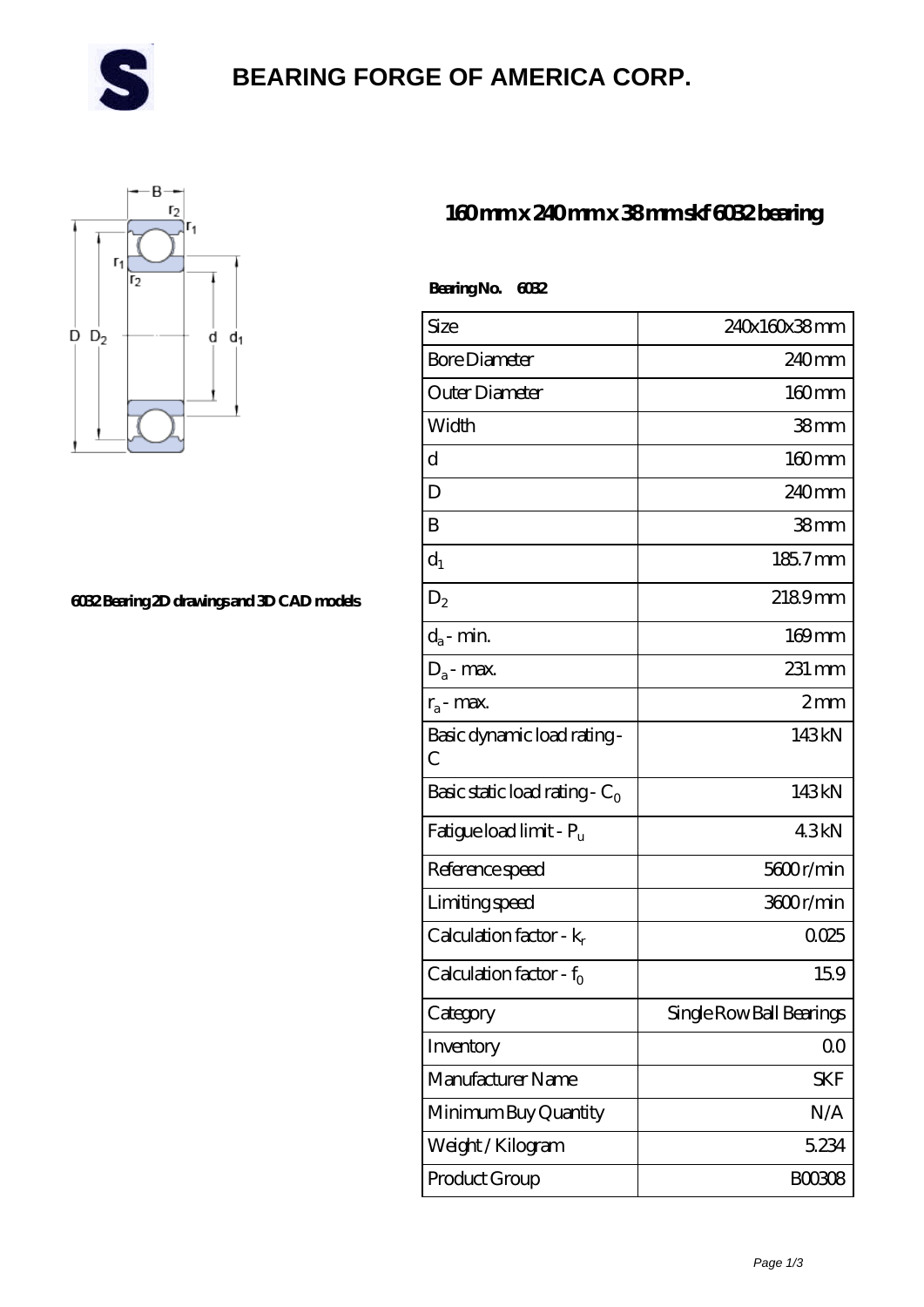

# **[BEARING FORGE OF AMERICA CORP.](https://danwei.tv)**



#### **[6032 Bearing 2D drawings and 3D CAD models](https://danwei.tv/pic-462038.html)**

### **[160 mm x 240 mm x 38 mm skf 6032 bearing](https://danwei.tv/skf-6032-bearing/)**

| Bearing No. 6032                    |                          |
|-------------------------------------|--------------------------|
| Size                                | 240x160x38mm             |
| <b>Bore Diameter</b>                | 240mm                    |
| Outer Diameter                      | $160$ mm                 |
| Width                               | 38mm                     |
| d                                   | 160mm                    |
| D                                   | 240mm                    |
| B                                   | 38 <sub>mm</sub>         |
| $d_1$                               | 185.7mm                  |
| $D_2$                               | 2189mm                   |
| $d_a$ - min.                        | $169$ mm                 |
| $D_a$ - max.                        | 231 mm                   |
| $r_a$ - max.                        | $2 \text{mm}$            |
| Basic dynamic load rating-<br>С     | 143kN                    |
| Basic static load rating - $C_0$    | 143kN                    |
| Fatigue load limit - P <sub>u</sub> | 43kN                     |
| Reference speed                     | 5600r/min                |
| Limiting speed                      | 3600r/min                |
| Calculation factor - $k_r$          | 0025                     |
| Calculation factor - $f_0$          | 159                      |
| Category                            | Single Row Ball Bearings |
| Inventory                           | 0 <sup>0</sup>           |
| Manufacturer Name                   | <b>SKF</b>               |
| Minimum Buy Quantity                | N/A                      |
| Weight /Kilogram                    | 5.234                    |

Product Group B00308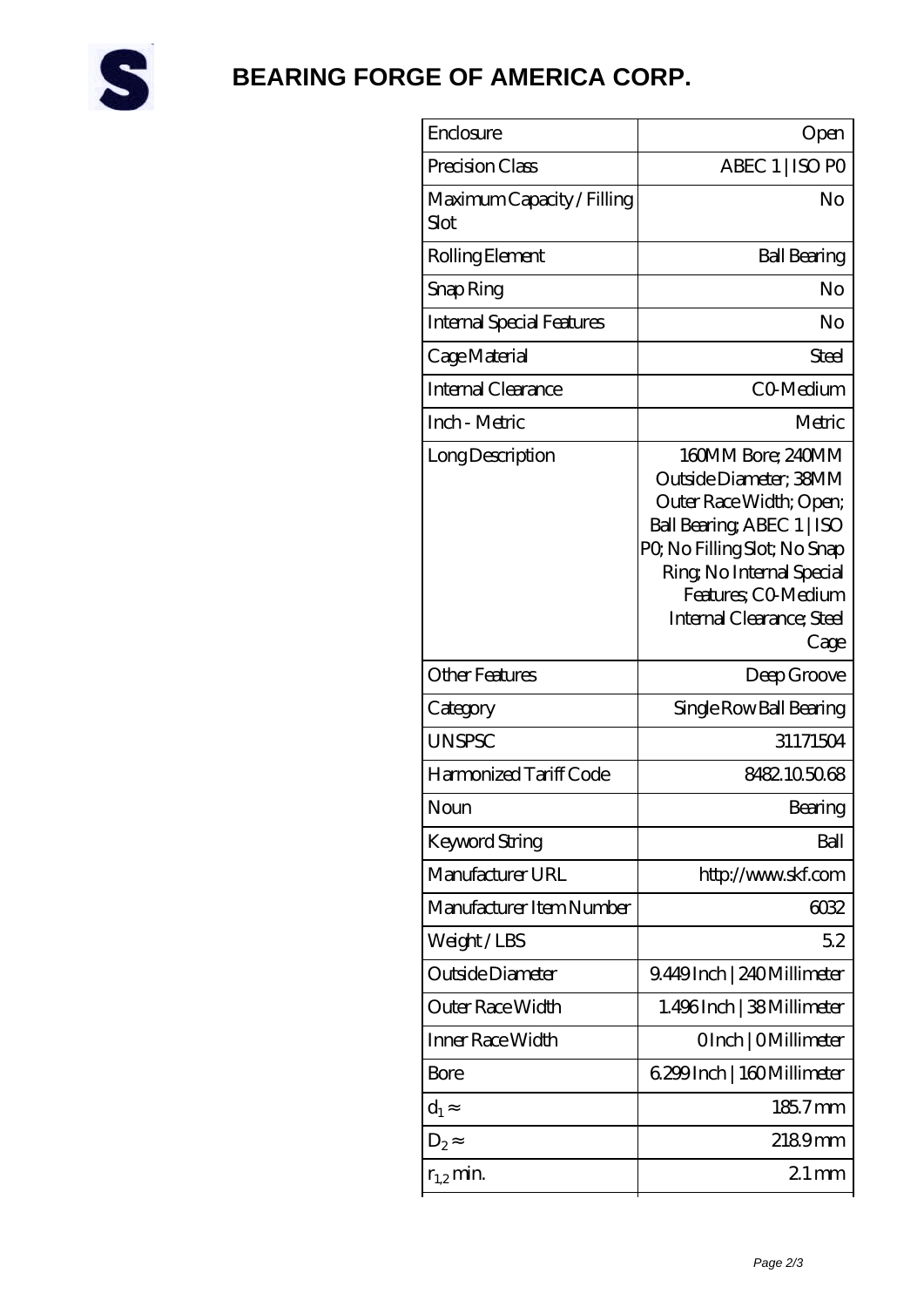

## **[BEARING FORGE OF AMERICA CORP.](https://danwei.tv)**

| Enclosure                          | Open                                                                                                                                                                                                                         |
|------------------------------------|------------------------------------------------------------------------------------------------------------------------------------------------------------------------------------------------------------------------------|
| Precision Class                    | ABEC 1   ISO PO                                                                                                                                                                                                              |
| Maximum Capacity / Filling<br>Slot | No                                                                                                                                                                                                                           |
| Rolling Element                    | <b>Ball Bearing</b>                                                                                                                                                                                                          |
| Snap Ring                          | No                                                                                                                                                                                                                           |
| <b>Internal Special Features</b>   | No                                                                                                                                                                                                                           |
| Cage Material                      | Steel                                                                                                                                                                                                                        |
| Internal Clearance                 | C0 Medium                                                                                                                                                                                                                    |
| Inch - Metric                      | Metric                                                                                                                                                                                                                       |
| Long Description                   | 160MM Bore; 240MM<br>Outside Diameter; 38MM<br>Outer Race Width; Open;<br>Ball Bearing, ABEC 1   ISO<br>PQ No Filling Slot; No Snap<br>Ring, No Internal Special<br>Features; CO-Medium<br>Internal Clearance; Steel<br>Cage |
| <b>Other Features</b>              | Deep Groove                                                                                                                                                                                                                  |
| Category                           | Single Row Ball Bearing                                                                                                                                                                                                      |
| <b>UNSPSC</b>                      | 31171504                                                                                                                                                                                                                     |
| Harmonized Tariff Code             | 8482105068                                                                                                                                                                                                                   |
| Noun                               | Bearing                                                                                                                                                                                                                      |
| Keyword String                     | Ball                                                                                                                                                                                                                         |
| Manufacturer URL                   | http://www.skf.com                                                                                                                                                                                                           |
| Manufacturer Item Number           | 6032                                                                                                                                                                                                                         |
| Weight/LBS                         | 52                                                                                                                                                                                                                           |
| Outside Diameter                   | 9.449Inch   240Millimeter                                                                                                                                                                                                    |
| Outer Race Width                   | 1.496Inch   38Millimeter                                                                                                                                                                                                     |
| Inner Race Width                   | OInch   OMillimeter                                                                                                                                                                                                          |
| Bore                               | 6.299 Inch   160 Millimeter                                                                                                                                                                                                  |
| $d_1$                              | 185.7mm                                                                                                                                                                                                                      |
| $D_2$                              | 2189mm                                                                                                                                                                                                                       |
| $r_{1,2}$ min.                     | $21 \,\mathrm{mm}$                                                                                                                                                                                                           |